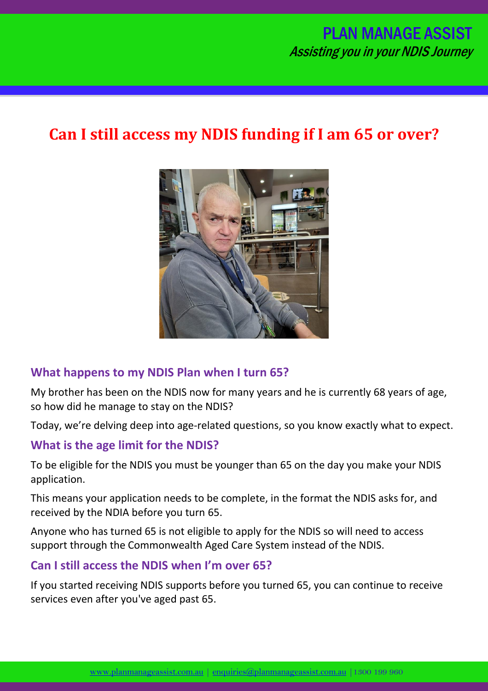# PLAN MANAGE ASSIST Assisting you in your NDIS Journey

# **Can I still access my NDIS funding if I am 65 or over?**



#### **What happens to my NDIS Plan when I turn 65?**

My brother has been on the NDIS now for many years and he is currently 68 years of age, so how did he manage to stay on the NDIS?

Today, we're delving deep into age-related questions, so you know exactly what to expect.

#### **What is the age limit for the NDIS?**

To be eligible for the NDIS you must be younger than 65 on the day you make your NDIS application.

This means your application needs to be complete, in the format the NDIS asks for, and received by the NDIA before you turn 65.

Anyone who has turned 65 is not eligible to apply for the NDIS so will need to access support through the Commonwealth Aged Care System instead of the NDIS.

#### **Can I still access the NDIS when I'm over 65?**

If you started receiving NDIS supports before you turned 65, you can continue to receive services even after you've aged past 65.